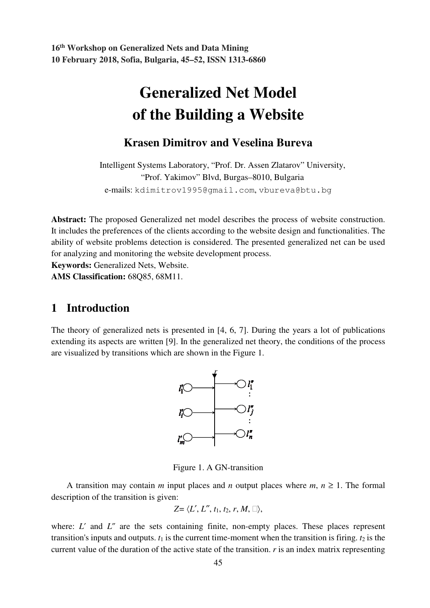# **Generalized Net Model of the Building a Website**

### **Krasen Dimitrov and Veselina Bureva**

Intelligent Systems Laboratory, "Prof. Dr. Assen Zlatarov" University, "Prof. Yakimov" Blvd, Burgas–8010, Bulgaria e-mails: kdimitrov1995@gmail.com, vbureva@btu.bg

**Abstract:** The proposed Generalized net model describes the process of website construction. It includes the preferences of the clients according to the website design and functionalities. The ability of website problems detection is considered. The presented generalized net can be used for analyzing and monitoring the website development process.

**Keywords:** Generalized Nets, Website.

**AMS Classification:** 68Q85, 68M11.

# **1 Introduction**

The theory of generalized nets is presented in [4, 6, 7]. During the years a lot of publications extending its aspects are written [9]. In the generalized net theory, the conditions of the process are visualized by transitions which are shown in the Figure 1.



Figure 1. A GN-transition

A transition may contain *m* input places and *n* output places where  $m, n \ge 1$ . The formal description of the transition is given:

$$
Z = \langle L', L'', t_1, t_2, r, M, \square \rangle,
$$

where: *L'* and *L''* are the sets containing finite, non-empty places. These places represent transition's inputs and outputs.  $t_1$  is the current time-moment when the transition is firing.  $t_2$  is the current value of the duration of the active state of the transition. *r* is an index matrix representing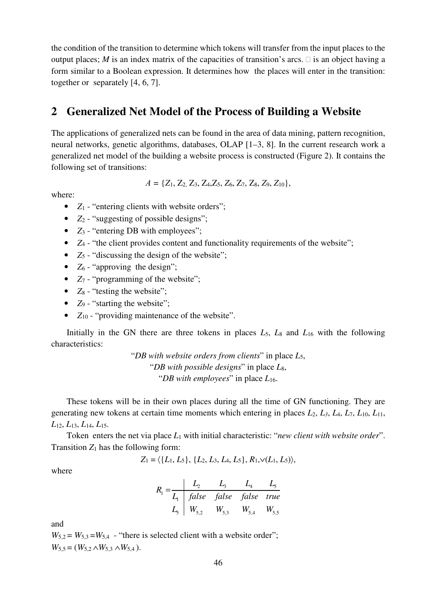the condition of the transition to determine which tokens will transfer from the input places to the output places; *M* is an index matrix of the capacities of transition's arcs.  $\Box$  is an object having a form similar to a Boolean expression. It determines how the places will enter in the transition: together or separately [4, 6, 7].

# **2 Generalized Net Model of the Process of Building a Website**

The applications of generalized nets can be found in the area of data mining, pattern recognition, neural networks, genetic algorithms, databases, OLAP [1–3, 8]. In the current research work a generalized net model of the building a website process is constructed (Figure 2). It contains the following set of transitions:

$$
A = \{Z_1, Z_2, Z_3, Z_4, Z_5, Z_6, Z_7, Z_8, Z_9, Z_{10}\},\
$$

where:

- $Z_1$  "entering clients with website orders";
- *Z*<sub>2</sub> "suggesting of possible designs";
- *Z*<sub>3</sub> "entering DB with employees";
- *Z*<sub>4</sub> "the client provides content and functionality requirements of the website";
- *Z*<sub>5</sub> "discussing the design of the website";
- $Z_6$  "approving the design";
- *Z*<sub>7</sub> "programming of the website";
- $Z_8$  "testing the website";
- *Z*<sub>9</sub> "starting the website";
- *Z*<sub>10</sub> "providing maintenance of the website".

Initially in the GN there are three tokens in places *L*5, *L*8 and *L*16 with the following characteristics:

> "*DB with website orders from clients*" in place *L*5, "*DB with possible designs*" in place *L*8, "*DB with employees*" in place *L*16.

These tokens will be in their own places during all the time of GN functioning. They are generating new tokens at certain time moments which entering in places  $L_2$ ,  $L_3$ ,  $L_4$ ,  $L_7$ ,  $L_{10}$ ,  $L_{11}$ , *L*12, *L*13, *L*14, *L*15.

Token enters the net via place *L*1 with initial characteristic: "*new client with website order*". Transition  $Z_1$  has the following form:

$$
Z_1 = \langle \{L_1, L_5\}, \{L_2, L_3, L_4, L_5\}, R_1, \vee (L_1, L_5) \rangle
$$

where

$$
R_1 = \frac{L_2}{L_1} \begin{array}{|l|l|} \hline L_2 & L_3 & L_4 & L_5 \ \hline false & false & false & true \ \hline L_5 & W_{5,2} & W_{5,3} & W_{5,4} & W_{5,5} \ \hline \end{array}
$$

and

 $W_{5,2} = W_{5,3} = W_{5,4}$  - "there is selected client with a website order";  $W_{5,5} = (W_{5,2} \wedge W_{5,3} \wedge W_{5,4})$ .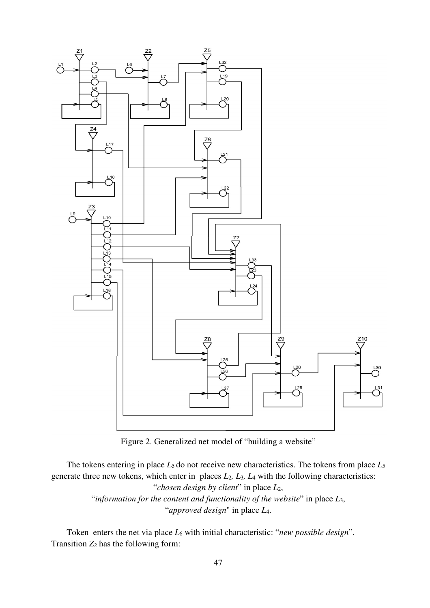

Figure 2. Generalized net model of "building a website"

The tokens entering in place *L*5 do not receive new characteristics. The tokens from place *L*<sup>5</sup> generate three new tokens, which enter in places *L*2*, L*3*, L*4 with the following characteristics: "*chosen design by client*" in place *L*2, "*information for the content and functionality of the website*" in place *L*3, "*approved design*" in place *L*4.

Token enters the net via place *L*6 with initial characteristic: "*new possible design*". Transition *Z2* has the following form: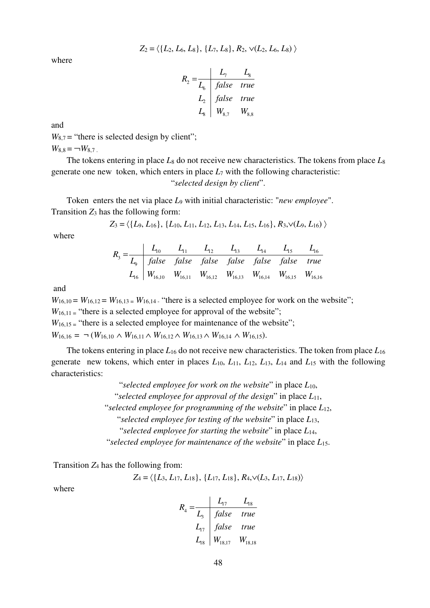$$
Z_2 = \langle \{L_2, L_6, L_8\}, \{L_7, L_8\}, R_2, \vee (L_2, L_6, L_8) \rangle
$$

where

$$
R_2 = \frac{L_7}{L_6} \frac{L_8}{false} true
$$
  
\n
$$
L_2 = \frac{L_8}{false} true
$$
  
\n
$$
L_8 = \frac{L_8}{W_{8,7}} \frac{W_{8,8}}{W_{8,8}}
$$

and

 $W_{8,7}$  = "there is selected design by client";  $W_{8,8} = \neg W_{8,7}$ .

The tokens entering in place *L*8 do not receive new characteristics. The tokens from place *L*<sup>8</sup> generate one new token, which enters in place  $L_7$  with the following characteristic:

"*selected design by client*".

Token enters the net via place *L*9 with initial characteristic: "*new employee*". Transition  $Z_3$  has the following form:

$$
Z_3 = \langle \{L_9, L_{16}\}, \{L_{10}, L_{11}, L_{12}, L_{13}, L_{14}, L_{15}, L_{16}\}, R_3, \vee (L_9, L_{16})\ \rangle
$$

where

$$
R_3 = \frac{L_{10}}{L_9} = \frac{L_{11}}{false} = \frac{L_{12}}{false} = \frac{L_{13}}{false} = \frac{L_{14}}{false} = \frac{L_{15}}{false} = \frac{L_{16}}{true}
$$
  

$$
L_{16} = \begin{bmatrix} W_{16,10} & W_{16,11} & W_{16,12} & W_{16,13} & W_{16,14} & W_{16,15} & W_{16,16} \end{bmatrix}
$$

and

 $W_{16,10} = W_{16,12} = W_{16,13} = W_{16,14}$ . "there is a selected employee for work on the website";  $W_{16,11}$  = "there is a selected employee for approval of the website";  $W_{16,15}$  = "there is a selected employee for maintenance of the website"; *W*<sub>16,16</sub> = ¬ (*W*<sub>16,10</sub> ∧ *W*<sub>16,11</sub> ∧ *W*<sub>16,12</sub> ∧ *W*<sub>16,13</sub> ∧ *W*<sub>16,14</sub> ∧ *W*<sub>16,15</sub>).

The tokens entering in place *L*16 do not receive new characteristics. The token from place *L*<sup>16</sup> generate new tokens, which enter in places *L*10, *L*11, *L*12, *L*13, *L*14 and *L*15 with the following characteristics:

> "*selected employee for work on the website*" in place *L*10, "*selected employee for approval of the design*" in place *L*11, "*selected employee for programming of the website*" in place *L*12, "*selected employee for testing of the website*" in place *L*13, "*selected employee for starting the website*" in place *L*14, "*selected employee for maintenance of the website*" in place *L*15.

Transition *Z*4 has the following from:

$$
Z_4 = \langle \{L_3, L_{17}, L_{18}\}, \{L_{17}, L_{18}\}, R_4, \vee (L_3, L_{17}, L_{18})\rangle
$$

where

$$
R_4 = \frac{L_{17}}{L_3} = \frac{L_{18}}{false} = true
$$
  
\n
$$
L_{17} = \frac{false}{1} = true
$$
  
\n
$$
L_{18} = W_{18,17} = W_{18,18}
$$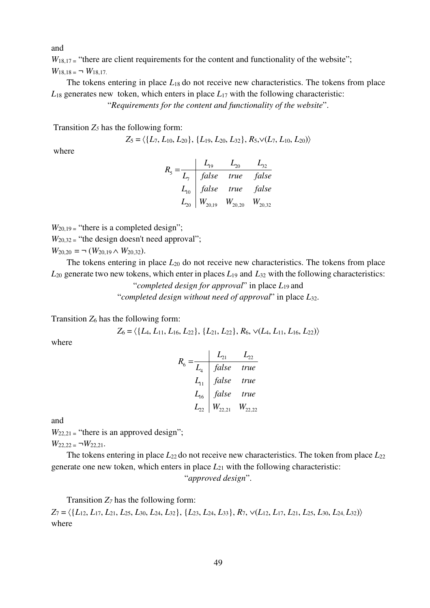and

 $W_{18,17}$  = "there are client requirements for the content and functionality of the website";  $W_{18,18} = \neg W_{18,17}$ .

The tokens entering in place  $L_{18}$  do not receive new characteristics. The tokens from place  $L_{18}$  generates new token, which enters in place  $L_{17}$  with the following characteristic:

"*Requirements for the content and functionality of the website*".

Transition *Z5* has the following form:

 $Z_5 = \langle \{L_7, L_{10}, L_{20}\}, \{L_{19}, L_{20}, L_{32}\}, R_5, \vee (L_7, L_{10}, L_{20})\rangle$ 

where

|          | false | true                    | false       |
|----------|-------|-------------------------|-------------|
| $L_{10}$ | false | true false              |             |
| $L_{20}$ |       | $W_{20,19}$ $W_{20,20}$ | $W_{20,32}$ |

 $W_{20.19}$  = "there is a completed design";

 $W_{20,32}$  = "the design doesn't need approval";

 $W_{20,20} = \neg$  ( $W_{20,19} \wedge W_{20,32}$ ).

The tokens entering in place  $L_{20}$  do not receive new characteristics. The tokens from place  $L_{20}$  generate two new tokens, which enter in places  $L_{19}$  and  $L_{32}$  with the following characteristics:

"*completed design for approval*" in place *L*19 and "*completed design without need of approval*" in place *L*32.

Transition  $Z_6$  has the following form:

$$
Z_6 = \langle \{L_4, L_{11}, L_{16}, L_{22}\}, \{L_{21}, L_{22}\}, R_6, \vee (L_4, L_{11}, L_{16}, L_{22})\rangle
$$

where

$$
R_6 = \frac{L_{21}}{L_4} = \frac{L_{22}}{false} = \frac{L_{11}}{true}
$$
  
\n
$$
L_{11} = false = true
$$
  
\n
$$
L_{16} = false = true
$$
  
\n
$$
L_{22} = W_{22,21} = W_{22,22}
$$

and

 $W_{22,21}$  = "there is an approved design";

 $W_{22,22} = \neg W_{22,21}$ .

The tokens entering in place  $L_{22}$  do not receive new characteristics. The token from place  $L_{22}$ generate one new token, which enters in place  $L_{21}$  with the following characteristic: "*approved design*".

Transition *Z7* has the following form:

 $Z_7 = \langle \{L_{12}, L_{17}, L_{21}, L_{25}, L_{30}, L_{24}, L_{32}\}, \{L_{23}, L_{24}, L_{33}\}, R_7, \sqrt{(L_{12}, L_{17}, L_{21}, L_{25}, L_{30}, L_{24}, L_{32})}\rangle$ where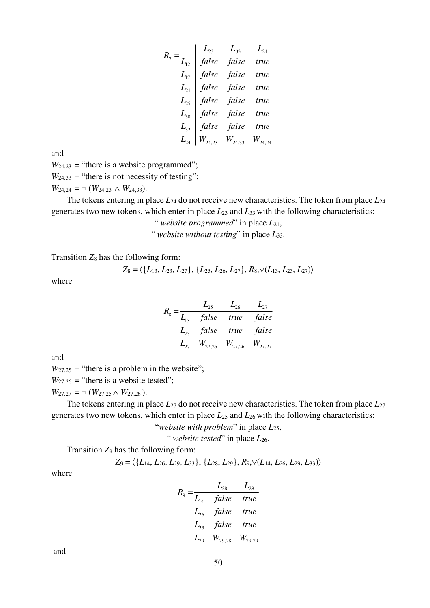$$
R_7 = \begin{array}{|c|c|c|} \hline L_{23} & L_{33} & L_{24} \\ \hline L_{12} & false & false & true \\ \hline L_{17} & false & false & true \\ \hline L_{21} & false & false & true \\ \hline L_{25} & false & false & true \\ \hline L_{30} & false & false & true \\ \hline L_{32} & false & false & true \\ \hline L_{24} & W_{24,23} & W_{24,33} & W_{24,24} \\ \hline \end{array}
$$

and

 $W_{24,23}$  = "there is a website programmed";

 $W_{24,33}$  = "there is not necessity of testing";

 $W_{24,24} = \neg (W_{24,23} \wedge W_{24,33}).$ 

The tokens entering in place *L*24 do not receive new characteristics. The token from place *L*<sup>24</sup> generates two new tokens, which enter in place *L*23 and *L*33 with the following characteristics:

" *website programmed*" in place *L*21,

" *website without testing*" in place *L*33.

Transition *Z*8 has the following form:

$$
Z_8 = \langle \{L_{13}, L_{23}, L_{27}\}, \{L_{25}, L_{26}, L_{27}\}, R_8, \vee (L_{13}, L_{23}, L_{27})\rangle
$$

where

$$
R_8 = \frac{L_{25}}{L_{13}} = \frac{L_{26}}{false} = \frac{L_{27}}{true} = false
$$
  
\n
$$
L_{23} = \frac{false}{false} = true = false
$$
  
\n
$$
L_{27} = W_{27,25} = W_{27,26} = W_{27,27}
$$

and

 $W_{27,25}$  = "there is a problem in the website";

 $W_{27,26}$  = "there is a website tested";

 $W_{27,27} = \neg$  ( $W_{27,25} \wedge W_{27,26}$ ).

The tokens entering in place *L*27 do not receive new characteristics. The token from place *L*<sup>27</sup> generates two new tokens, which enter in place *L*25 and *L*26 with the following characteristics:

"*website with problem*" in place *L*25,

" *website tested*" in place *L*26.

Transition *Z*9 has the following form:

$$
Z_9 = \langle \{L_{14}, L_{26}, L_{29}, L_{33}\}, \{L_{28}, L_{29}\}, R_9, \vee (L_{14}, L_{26}, L_{29}, L_{33})\rangle
$$

where

$$
R_9 = \frac{L_{28}}{L_{14}} = \frac{L_{29}}{false} = true
$$
  
\n
$$
L_{26} = false = true
$$
  
\n
$$
L_{33} = false = true
$$
  
\n
$$
L_{29} = W_{29,28} = W_{29,29}
$$

and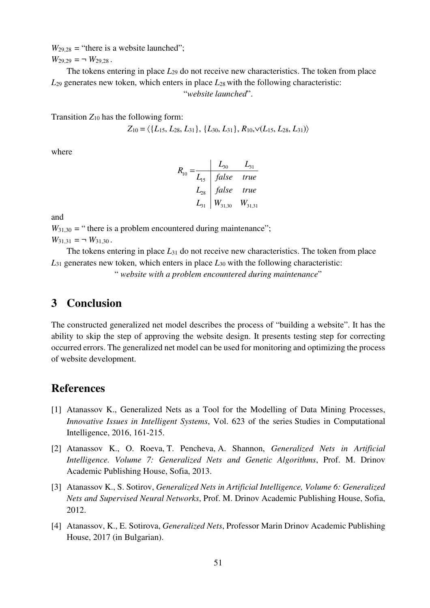$W_{29,28}$  = "there is a website launched";  $W_{29,29} = \neg W_{29,28}$ .

The tokens entering in place *L*29 do not receive new characteristics. The token from place *L*29 generates new token, which enters in place *L*28 with the following characteristic:

"*website launched*".

Transition  $Z_{10}$  has the following form:

$$
Z_{10} = \langle \{L_{15}, L_{28}, L_{31}\}, \{L_{30}, L_{31}\}, R_{10}, \vee (L_{15}, L_{28}, L_{31})\rangle
$$

where

$$
R_{10} = \frac{L_{30}}{L_{15}} = \frac{L_{30}}{false} = \frac{L_{31}}{true}
$$
  

$$
L_{28} = \frac{false}{true} = true
$$
  

$$
L_{31} = \frac{W_{31,30}}{W_{31,30}} = \frac{W_{31,31}}{W_{31,31}}
$$

and

 $W_{31,30}$  = " there is a problem encountered during maintenance";  $W_{31,31} = \neg W_{31,30}$ .

The tokens entering in place *L*31 do not receive new characteristics. The token from place *L*31 generates new token, which enters in place *L*30 with the following characteristic:

" *website with a problem encountered during maintenance*"

### **3 Conclusion**

The constructed generalized net model describes the process of "building a website". It has the ability to skip the step of approving the website design. It presents testing step for correcting occurred errors. The generalized net model can be used for monitoring and optimizing the process of website development.

#### **References**

- [1] Atanassov K., Generalized Nets as a Tool for the Modelling of Data Mining Processes, *Innovative Issues in Intelligent Systems*, Vol. 623 of the series Studies in Computational Intelligence, 2016, 161-215.
- [2] Atanassov K., O. Roeva, T. Pencheva, A. Shannon, *Generalized Nets in Artificial Intelligence. Volume 7: Generalized Nets and Genetic Algorithms*, Prof. M. Drinov Academic Publishing House, Sofia, 2013.
- [3] Atanassov K., S. Sotirov, *Generalized Nets in Artificial Intelligence, Volume 6: Generalized Nets and Supervised Neural Networks*, Prof. M. Drinov Academic Publishing House, Sofia, 2012.
- [4] Atanassov, K., E. Sotirova, *Generalized Nets*, Professor Marin Drinov Academic Publishing House, 2017 (in Bulgarian).